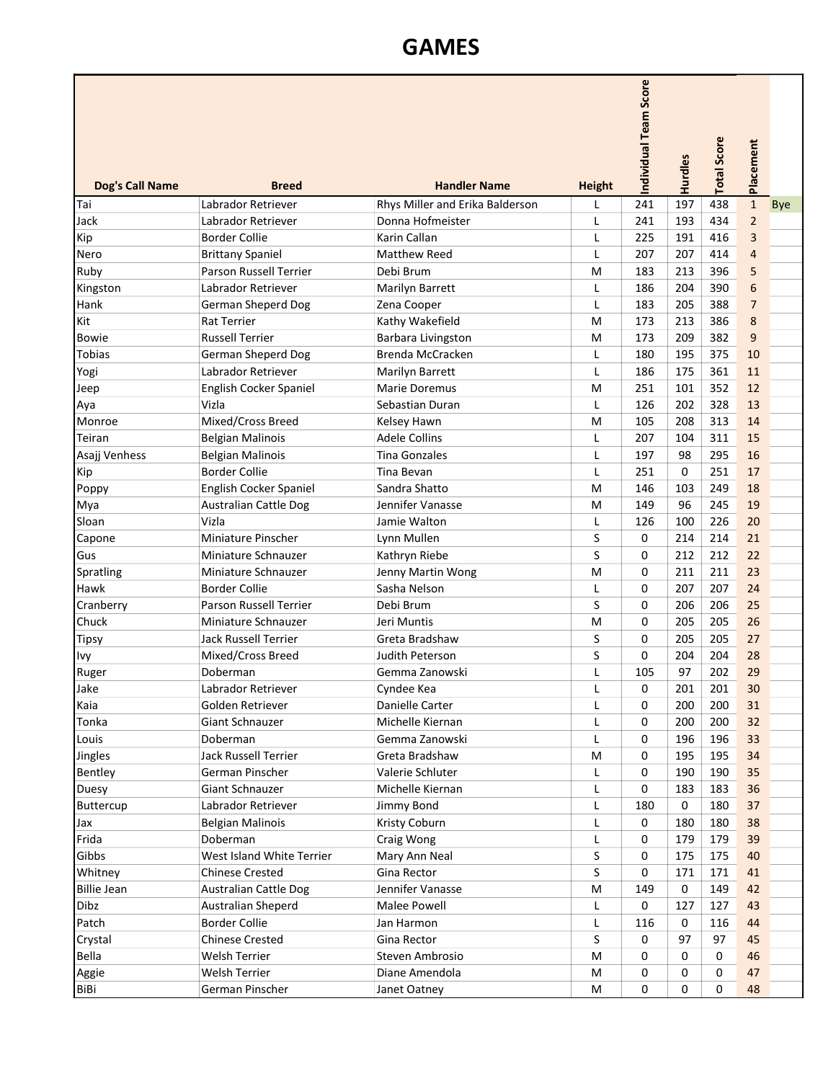## GAMES

|                        |                               |                                 |               | ndividual Team Score | Hurdles | <b>Total Score</b> | Placement               |            |
|------------------------|-------------------------------|---------------------------------|---------------|----------------------|---------|--------------------|-------------------------|------------|
| <b>Dog's Call Name</b> | <b>Breed</b>                  | <b>Handler Name</b>             | <b>Height</b> |                      |         |                    |                         |            |
| Tai                    | Labrador Retriever            | Rhys Miller and Erika Balderson | L             | 241                  | 197     | 438                | $\mathbf 1$             | <b>Bye</b> |
| Jack                   | Labrador Retriever            | Donna Hofmeister                | L             | 241                  | 193     | 434                | $\overline{2}$          |            |
| Kip                    | <b>Border Collie</b>          | Karin Callan                    | $\mathsf{L}$  | 225                  | 191     | 416                | $\overline{\mathbf{3}}$ |            |
| Nero                   | <b>Brittany Spaniel</b>       | <b>Matthew Reed</b>             | L             | 207                  | 207     | 414                | $\overline{4}$          |            |
| Ruby                   | <b>Parson Russell Terrier</b> | Debi Brum                       | M             | 183                  | 213     | 396                | 5                       |            |
| Kingston               | Labrador Retriever            | Marilyn Barrett                 |               | 186                  | 204     | 390                | 6                       |            |
| Hank                   | German Sheperd Dog            | Zena Cooper                     |               | 183                  | 205     | 388                | $\overline{7}$          |            |
| Kit                    | <b>Rat Terrier</b>            | Kathy Wakefield                 | M             | 173                  | 213     | 386                | 8                       |            |
| <b>Bowie</b>           | <b>Russell Terrier</b>        | Barbara Livingston              | M             | 173                  | 209     | 382                | 9                       |            |
| <b>Tobias</b>          | German Sheperd Dog            | Brenda McCracken                | $\mathsf L$   | 180                  | 195     | 375                | 10                      |            |
| Yogi                   | Labrador Retriever            | Marilyn Barrett                 | L             | 186                  | 175     | 361                | 11                      |            |
| Jeep                   | English Cocker Spaniel        | Marie Doremus                   | M             | 251                  | 101     | 352                | 12                      |            |
| Aya                    | Vizla                         | Sebastian Duran                 | L             | 126                  | 202     | 328                | 13                      |            |
| Monroe                 | Mixed/Cross Breed             | Kelsey Hawn                     | М             | 105                  | 208     | 313                | 14                      |            |
| Teiran                 | <b>Belgian Malinois</b>       | <b>Adele Collins</b>            | L             | 207                  | 104     | 311                | 15                      |            |
| Asajj Venhess          | <b>Belgian Malinois</b>       | <b>Tina Gonzales</b>            |               | 197                  | 98      | 295                | 16                      |            |
| Kip                    | <b>Border Collie</b>          | Tina Bevan                      |               | 251                  | 0       | 251                | 17                      |            |
| Poppy                  | English Cocker Spaniel        | Sandra Shatto                   | M             | 146                  | 103     | 249                | 18                      |            |
| Mya                    | <b>Australian Cattle Dog</b>  | Jennifer Vanasse                | M             | 149                  | 96      | 245                | 19                      |            |
| Sloan                  | Vizla                         | Jamie Walton                    |               | 126                  | 100     | 226                | 20                      |            |
| Capone                 | Miniature Pinscher            | Lynn Mullen                     | S             | 0                    | 214     | 214                | 21                      |            |
| Gus                    | Miniature Schnauzer           | Kathryn Riebe                   | S             | 0                    | 212     | 212                | 22                      |            |
| Spratling              | Miniature Schnauzer           | Jenny Martin Wong               | M             | 0                    | 211     | 211                | 23                      |            |
| Hawk                   | <b>Border Collie</b>          | Sasha Nelson                    | L             | 0                    | 207     | 207                | 24                      |            |
| Cranberry              | <b>Parson Russell Terrier</b> | Debi Brum                       | S             | 0                    | 206     | 206                | 25                      |            |
| Chuck                  | Miniature Schnauzer           | Jeri Muntis                     | M             | 0                    | 205     | 205                | 26                      |            |
| <b>Tipsy</b>           | <b>Jack Russell Terrier</b>   | Greta Bradshaw                  | S             | 0                    | 205     | 205                | 27                      |            |
| Ivy                    | Mixed/Cross Breed             | <b>Judith Peterson</b>          | S             | 0                    | 204     | 204                | 28                      |            |
| Ruger                  | Doberman                      | Gemma Zanowski                  |               | 105                  | 97      | 202                | 29                      |            |
| Jake                   | Labrador Retriever            | Cyndee Kea                      | L             | 0                    | 201     | 201                | 30                      |            |
| Kaia                   | Golden Retriever              | Danielle Carter                 |               | 0                    | 200     | 200                | 31                      |            |
| Tonka                  | Giant Schnauzer               | Michelle Kiernan                |               | 0                    | 200     | 200                | 32                      |            |
| Louis                  | Doberman                      | Gemma Zanowski                  | L             | 0                    | 196     | 196                | 33                      |            |
| Jingles                | <b>Jack Russell Terrier</b>   | Greta Bradshaw                  | M             | 0                    | 195     | 195                | 34                      |            |
| Bentley                | German Pinscher               | Valerie Schluter                |               | 0                    | 190     | 190                | 35                      |            |
| <b>Duesy</b>           | Giant Schnauzer               | Michelle Kiernan                | L             | 0                    | 183     | 183                | 36                      |            |
| Buttercup              | Labrador Retriever            | Jimmy Bond                      | L             | 180                  | 0       | 180                | 37                      |            |
| Jax                    | <b>Belgian Malinois</b>       | Kristy Coburn                   | L             | 0                    | 180     | 180                | 38                      |            |
| Frida                  | Doberman                      | Craig Wong                      | L             | 0                    | 179     | 179                | 39                      |            |
| Gibbs                  | West Island White Terrier     | Mary Ann Neal                   | S             | 0                    | 175     | 175                | 40                      |            |
| Whitney                | <b>Chinese Crested</b>        | Gina Rector                     | S             | 0                    | 171     | 171                | 41                      |            |
| <b>Billie Jean</b>     | <b>Australian Cattle Dog</b>  | Jennifer Vanasse                | м             | 149                  | 0       | 149                | 42                      |            |
| Dibz                   | Australian Sheperd            | <b>Malee Powell</b>             | L             | 0                    | 127     | 127                | 43                      |            |
| Patch                  | <b>Border Collie</b>          | Jan Harmon                      |               | 116                  | 0       | 116                | 44                      |            |
| Crystal                | <b>Chinese Crested</b>        | Gina Rector                     | S             | 0                    | 97      | 97                 | 45                      |            |
| Bella                  | Welsh Terrier                 | Steven Ambrosio                 | М             | 0                    | 0       | 0                  | 46                      |            |
| Aggie                  | <b>Welsh Terrier</b>          | Diane Amendola                  | М             | 0                    | 0       | 0                  | 47                      |            |
| BiBi                   | German Pinscher               | Janet Oatney                    | M             | 0                    | 0       | 0                  | 48                      |            |